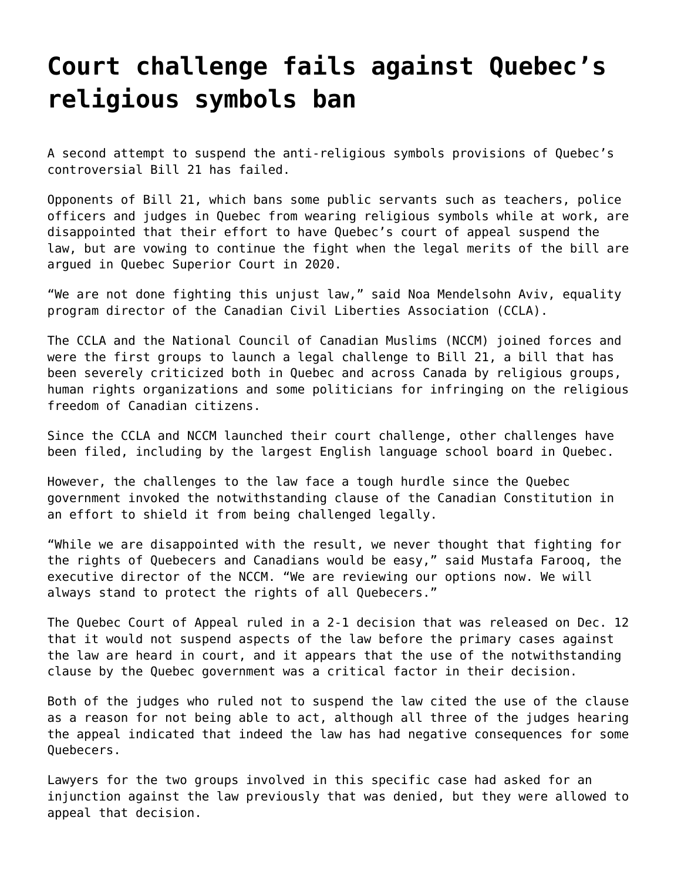## **[Court challenge fails against Quebec's](https://grandinmedia.ca/court-challenge-fails-against-quebecs-religious-symbols-ban/) [religious symbols ban](https://grandinmedia.ca/court-challenge-fails-against-quebecs-religious-symbols-ban/)**

A second attempt to suspend the anti-religious symbols provisions of Quebec's controversial Bill 21 has failed.

Opponents of [Bill 21,](https://grandinmedia.ca/quebecs-forced-passage-of-secularism-bill-21-decried-as-unconscionable/) which bans some public servants such as teachers, police officers and judges in Quebec from wearing religious symbols while at work, are disappointed that their effort to have Quebec's court of appeal suspend the law, but are vowing to continue the fight when the legal merits of the bill are argued in Quebec Superior Court in 2020.

"We are not done fighting this unjust law," said Noa Mendelsohn Aviv, equality program director of the Canadian Civil Liberties Association (CCLA).

The CCLA and the National Council of Canadian Muslims (NCCM) joined forces and were the first groups to launch a legal challenge to Bill 21, a bill that has been [severely criticized both in Quebec and across Canada by religious groups](https://grandinmedia.ca/quebecs-bill-21-disturbing-development-people-faith-archbishop-smith-tells-muslim-gathering/), human rights organizations and some politicians for infringing on the religious freedom of Canadian citizens.

Since the CCLA and NCCM launched their court challenge, other challenges have been filed, including by the largest English language school board in Quebec.

However, the challenges to the law face a tough hurdle since the Quebec government invoked the notwithstanding clause of the Canadian Constitution in an effort to shield it from being challenged legally.

"While we are disappointed with the result, we never thought that fighting for the rights of Quebecers and Canadians would be easy," said Mustafa Farooq, the executive director of the NCCM. "We are reviewing our options now. We will always stand to protect the rights of all Quebecers."

The Quebec Court of Appeal ruled in a 2-1 decision that was released on Dec. 12 that it would not suspend aspects of the law before the primary cases against the law are heard in court, and it appears that the use of the notwithstanding clause by the Quebec government was a critical factor in their decision.

Both of the judges who ruled not to suspend the law cited the use of the clause as a reason for not being able to act, although all three of the judges hearing the appeal indicated that indeed the law has had negative consequences for some Quebecers.

Lawyers for the two groups involved in this specific case had asked for an injunction against the law previously that was denied, but they were allowed to appeal that decision.